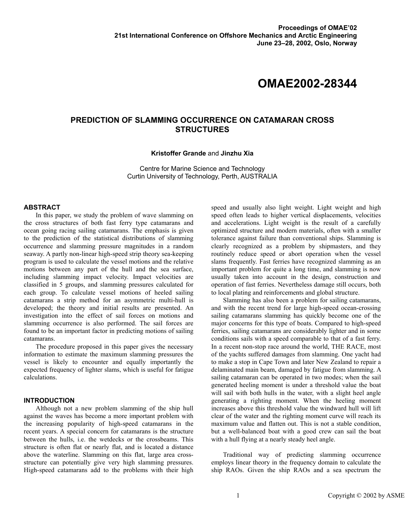# **OMAE2002-28344**

# **PREDICTION OF SLAMMING OCCURRENCE ON CATAMARAN CROSS STRUCTURES**

**Kristoffer Grande** and **Jinzhu Xia**

Centre for Marine Science and Technology Curtin University of Technology, Perth, AUSTRALIA

## **ABSTRACT**

In this paper, we study the problem of wave slamming on the cross structures of both fast ferry type catamarans and ocean going racing sailing catamarans. The emphasis is given to the prediction of the statistical distributions of slamming occurrence and slamming pressure magnitudes in a random seaway. A partly non-linear high-speed strip theory sea-keeping program is used to calculate the vessel motions and the relative motions between any part of the hull and the sea surface, including slamming impact velocity. Impact velocities are classified in 5 groups, and slamming pressures calculated for each group. To calculate vessel motions of heeled sailing catamarans a strip method for an asymmetric multi-hull is developed; the theory and initial results are presented. An investigation into the effect of sail forces on motions and slamming occurrence is also performed. The sail forces are found to be an important factor in predicting motions of sailing catamarans.

The procedure proposed in this paper gives the necessary information to estimate the maximum slamming pressures the vessel is likely to encounter and equally importantly the expected frequency of lighter slams, which is useful for fatigue calculations.

## **INTRODUCTION**

Although not a new problem slamming of the ship hull against the waves has become a more important problem with the increasing popularity of high-speed catamarans in the recent years. A special concern for catamarans is the structure between the hulls, i.e. the wetdecks or the crossbeams. This structure is often flat or nearly flat, and is located a distance above the waterline. Slamming on this flat, large area crossstructure can potentially give very high slamming pressures. High-speed catamarans add to the problems with their high

speed and usually also light weight. Light weight and high speed often leads to higher vertical displacements, velocities and accelerations. Light weight is the result of a carefully optimized structure and modern materials, often with a smaller tolerance against failure than conventional ships. Slamming is clearly recognized as a problem by shipmasters, and they routinely reduce speed or abort operation when the vessel slams frequently. Fast ferries have recognized slamming as an important problem for quite a long time, and slamming is now usually taken into account in the design, construction and operation of fast ferries. Nevertheless damage still occurs, both to local plating and reinforcements and global structure.

Slamming has also been a problem for sailing catamarans, and with the recent trend for large high-speed ocean-crossing sailing catamarans slamming has quickly become one of the major concerns for this type of boats. Compared to high-speed ferries, sailing catamarans are considerably lighter and in some conditions sails with a speed comparable to that of a fast ferry. In a recent non-stop race around the world, THE RACE, most of the yachts suffered damages from slamming. One yacht had to make a stop in Cape Town and later New Zealand to repair a delaminated main beam, damaged by fatigue from slamming. A sailing catamaran can be operated in two modes; when the sail generated heeling moment is under a threshold value the boat will sail with both hulls in the water, with a slight heel angle generating a righting moment. When the heeling moment increases above this threshold value the windward hull will lift clear of the water and the righting moment curve will reach its maximum value and flatten out. This is not a stable condition, but a well-balanced boat with a good crew can sail the boat with a hull flying at a nearly steady heel angle.

Traditional way of predicting slamming occurrence employs linear theory in the frequency domain to calculate the ship RAOs. Given the ship RAOs and a sea spectrum the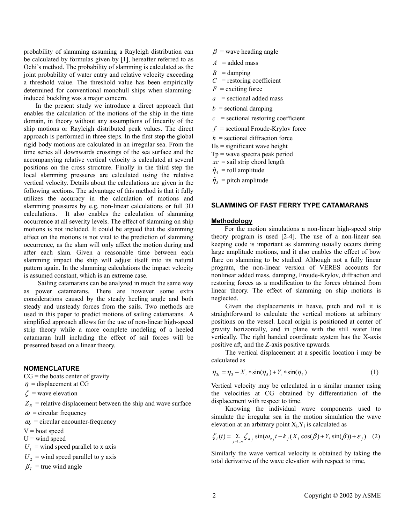probability of slamming assuming a Rayleigh distribution can be calculated by formulas given by [1], hereafter referred to as Ochi's method. The probability of slamming is calculated as the joint probability of water entry and relative velocity exceeding a threshold value. The threshold value has been empirically determined for conventional monohull ships when slamminginduced buckling was a major concern.

In the present study we introduce a direct approach that enables the calculation of the motions of the ship in the time domain, in theory without any assumptions of linearity of the ship motions or Rayleigh distributed peak values. The direct approach is performed in three steps. In the first step the global rigid body motions are calculated in an irregular sea. From the time series all downwards crossings of the sea surface and the accompanying relative vertical velocity is calculated at several positions on the cross structure. Finally in the third step the local slamming pressures are calculated using the relative vertical velocity. Details about the calculations are given in the following sections. The advantage of this method is that it fully utilizes the accuracy in the calculation of motions and slamming pressures by e.g. non-linear calculations or full 3D calculations. It also enables the calculation of slamming occurrence at all severity levels. The effect of slamming on ship motions is not included. It could be argued that the slamming effect on the motions is not vital to the prediction of slamming occurrence, as the slam will only affect the motion during and after each slam. Given a reasonable time between each slamming impact the ship will adjust itself into its natural pattern again. In the slamming calculations the impact velocity is assumed constant, which is an extreme case.

Sailing catamarans can be analyzed in much the same way as power catamarans. There are however some extra considerations caused by the steady heeling angle and both steady and unsteady forces from the sails. Two methods are used in this paper to predict motions of sailing catamarans. A simplified approach allows for the use of non-linear high-speed strip theory while a more complete modeling of a heeled catamaran hull including the effect of sail forces will be presented based on a linear theory.

### **NOMENCLATURE**

 $CG =$  the boats center of gravity

 $\eta$  = displacement at CG

 $\zeta$  = wave elevation

- $Z_R$  = relative displacement between the ship and wave surface
- $\omega$  = circular frequency
- $\omega_e$  = circular encounter-frequency
- $V =$ boat speed
- $U =$  wind speed
- $U_1$  = wind speed parallel to x axis
- $U_2$  = wind speed parallel to y axis
- $\beta<sub>r</sub>$  = true wind angle
- $\beta$  = wave heading angle
- $A =$ added mass
- $B =$ damping
- $C =$  restoring coefficient
- $F =$  exciting force
- $a$  = sectional added mass
- $b =$  sectional damping
- $c$  = sectional restoring coefficient
- $f$  = sectional Froude-Krylov force
- $h$  = sectional diffraction force
- $Hs =$  significant wave height
- $T_p$  = wave spectra peak period
- $xc$  = sail strip chord length
- $\hat{\eta}_4$  = roll amplitude
- $\hat{\eta}_5$  = pitch amplitude

## **SLAMMING OF FAST FERRY TYPE CATAMARANS**

#### **Methodology**

 For the motion simulations a non-linear high-speed strip theory program is used [2-4]. The use of a non-linear sea keeping code is important as slamming usually occurs during large amplitude motions, and it also enables the effect of bow flare on slamming to be studied. Although not a fully linear program, the non-linear version of VERES accounts for nonlinear added mass, damping, Froude-Krylov, diffraction and restoring forces as a modification to the forces obtained from linear theory. The effect of slamming on ship motions is neglected.

Given the displacements in heave, pitch and roll it is straightforward to calculate the vertical motions at arbitrary positions on the vessel. Local origin is positioned at center of gravity horizontally, and in plane with the still water line vertically. The right handed coordinate system has the X-axis positive aft, and the Z-axis positive upwards.

The vertical displacement at a specific location i may be calculated as

$$
\eta_{3i} = \eta_3 - X_i * \sin(\eta_5) + Y_i * \sin(\eta_4)
$$
 (1)

Vertical velocity may be calculated in a similar manner using the velocities at CG obtained by differentiation of the displacement with respect to time.

Knowing the individual wave components used to simulate the irregular sea in the motion simulation the wave elevation at an arbitrary point  $X_i, Y_i$  is calculated as

$$
\zeta_i(t) = \sum_{j=1,n} \zeta_{aj} \sin(\omega_{ej}t - k_j(X_i \cos(\beta) + Y_i \sin(\beta)) + \varepsilon_j)
$$
 (2)

Similarly the wave vertical velocity is obtained by taking the total derivative of the wave elevation with respect to time,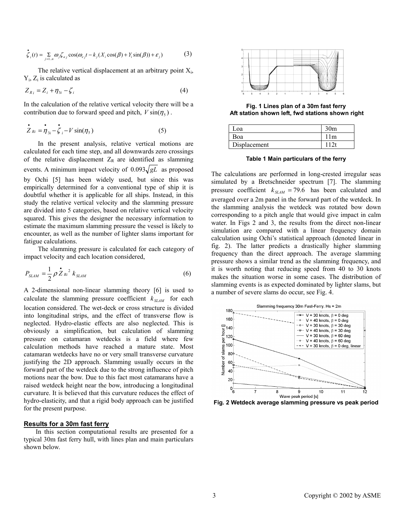$$
\dot{\zeta}_i(t) = \sum_{j=1..n} \omega_j \zeta_{aj} \cos(\omega_{ej} t - k_j (X_i \cos(\beta) + Y_i \sin(\beta)) + \varepsilon_j)
$$
(3)

The relative vertical displacement at an arbitrary point  $X_i$ ,  $Y_i$ ,  $Z_i$  is calculated as

$$
Z_{R_i} = Z_i + \eta_{3i} - \zeta_i \tag{4}
$$

In the calculation of the relative vertical velocity there will be a contribution due to forward speed and pitch,  $V \sin(\eta_5)$ .

$$
\mathbf{\dot{Z}}_{Ri} = \mathbf{\dot{\eta}}_{3i} - \mathbf{\dot{\zeta}}_{i} - V \sin(\eta_{5})
$$
 (5)

In the present analysis, relative vertical motions are calculated for each time step, and all downwards zero crossings of the relative displacement  $Z_R$  are identified as slamming events. A minimum impact velocity of  $0.093\sqrt{gL}$  as proposed by Ochi [5] has been widely used, but since this was empirically determined for a conventional type of ship it is doubtful whether it is applicable for all ships. Instead, in this study the relative vertical velocity and the slamming pressure are divided into 5 categories, based on relative vertical velocity squared. This gives the designer the necessary information to estimate the maximum slamming pressure the vessel is likely to encounter, as well as the number of lighter slams important for fatigue calculations.

The slamming pressure is calculated for each category of impact velocity and each location considered,

$$
P_{SLAM} = \frac{1}{2} \rho \dot{Z}_{Ri}^2 k_{SLAM}
$$
 (6)

A 2-dimensional non-linear slamming theory [6] is used to calculate the slamming pressure coefficient  $k_{SLM}$  for each location considered. The wet-deck or cross structure is divided into longitudinal strips, and the effect of transverse flow is neglected. Hydro-elastic effects are also neglected. This is obviously a simplification, but calculation of slamming pressure on catamaran wetdecks is a field where few calculation methods have reached a mature state. Most catamaran wetdecks have no or very small transverse curvature justifying the 2D approach. Slamming usually occurs in the forward part of the wetdeck due to the strong influence of pitch motions near the bow. Due to this fact most catamarans have a raised wetdeck height near the bow, introducing a longitudinal curvature. It is believed that this curvature reduces the effect of hydro-elasticity, and that a rigid body approach can be justified for the present purpose.

## **Results for a 30m fast ferry**

In this section computational results are presented for a typical 30m fast ferry hull, with lines plan and main particulars shown below.



**Fig. 1 Lines plan of a 30m fast ferry Aft station shown left, fwd stations shown right** 

| _oa          |     |
|--------------|-----|
| Boa          | l m |
| Displacement |     |

**Table 1 Main particulars of the ferry** 

The calculations are performed in long-crested irregular seas simulated by a Bretschneider spectrum [7]. The slamming pressure coefficient  $k_{SLAM} = 79.6$  has been calculated and averaged over a 2m panel in the forward part of the wetdeck. In the slamming analysis the wetdeck was rotated bow down corresponding to a pitch angle that would give impact in calm water. In Figs 2 and 3, the results from the direct non-linear simulation are compared with a linear frequency domain calculation using Ochi's statistical approach (denoted linear in fig. 2). The latter predicts a drastically higher slamming frequency than the direct approach. The average slamming pressure shows a similar trend as the slamming frequency, and it is worth noting that reducing speed from 40 to 30 knots makes the situation worse in some cases. The distribution of slamming events is as expected dominated by lighter slams, but a number of severe slams do occur, see Fig. 4.



**Fig. 2 Wetdeck average slamming pressure vs peak period**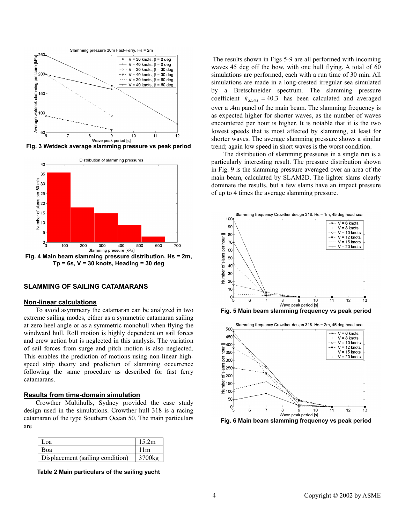

**Fig. 3 Wetdeck average slamming pressure vs peak period** 



**Tp = 6s, V = 30 knots, Heading = 30 deg** 

#### **SLAMMING OF SAILING CATAMARANS**

## **Non-linear calculations**

To avoid asymmetry the catamaran can be analyzed in two extreme sailing modes, either as a symmetric catamaran sailing at zero heel angle or as a symmetric monohull when flying the windward hull. Roll motion is highly dependent on sail forces and crew action but is neglected in this analysis. The variation of sail forces from surge and pitch motion is also neglected. This enables the prediction of motions using non-linear highspeed strip theory and prediction of slamming occurrence following the same procedure as described for fast ferry catamarans.

#### **Results from time-domain simulation**

Crowther Multihulls, Sydney provided the case study design used in the simulations. Crowther hull 318 is a racing catamaran of the type Southern Ocean 50. The main particulars are

| Loa                              | 15.2 <sub>m</sub> |
|----------------------------------|-------------------|
| Boa                              | 11m               |
| Displacement (sailing condition) | 3700kg            |

 **Table 2 Main particulars of the sailing yacht** 

 The results shown in Figs 5-9 are all performed with incoming waves 45 deg off the bow, with one hull flying. A total of 60 simulations are performed, each with a run time of 30 min. All simulations are made in a long-crested irregular sea simulated by a Bretschneider spectrum. The slamming pressure coefficient  $k_{SIAM} = 40.3$  has been calculated and averaged over a .4m panel of the main beam. The slamming frequency is as expected higher for shorter waves, as the number of waves encountered per hour is higher. It is notable that it is the two lowest speeds that is most affected by slamming, at least for shorter waves. The average slamming pressure shows a similar trend; again low speed in short waves is the worst condition.

The distribution of slamming pressures in a single run is a particularly interesting result. The pressure distribution shown in Fig. 9 is the slamming pressure averaged over an area of the main beam, calculated by SLAM2D. The lighter slams clearly dominate the results, but a few slams have an impact pressure of up to 4 times the average slamming pressure.



**Fig. 5 Main beam slamming frequency vs peak period** 



**Fig. 6 Main beam slamming frequency vs peak period**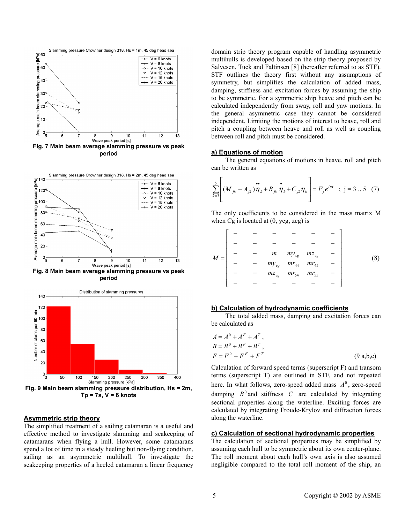





**period** 



**Tp = 7s, V = 6 knots** 

#### **Asymmetric strip theory**

The simplified treatment of a sailing catamaran is a useful and effective method to investigate slamming and seakeeping of catamarans when flying a hull. However, some catamarans spend a lot of time in a steady heeling but non-flying condition, sailing as an asymmetric multihull. To investigate the seakeeping properties of a heeled catamaran a linear frequency

domain strip theory program capable of handling asymmetric multihulls is developed based on the strip theory proposed by Salvesen, Tuck and Faltinsen [8] (hereafter referred to as STF). STF outlines the theory first without any assumptions of symmetry, but simplifies the calculation of added mass, damping, stiffness and excitation forces by assuming the ship to be symmetric. For a symmetric ship heave and pitch can be calculated independently from sway, roll and yaw motions. In the general asymmetric case they cannot be considered independent. Limiting the motions of interest to heave, roll and pitch a coupling between heave and roll as well as coupling between roll and pitch must be considered.

#### **a) Equations of motion**

The general equations of motions in heave, roll and pitch can be written as

$$
\sum_{k=3}^{5} \left[ (M_{jk} + A_{jk}) \ddot{\eta}_{k} + B_{jk} \dot{\eta}_{k} + C_{jk} \eta_{k} \right] = F_{j} e^{i\omega t} \quad ; \quad j = 3 \dots 5 \quad (7)
$$

The only coefficients to be considered in the mass matrix M when  $Cg$  is located at  $(0, ycg, zcg)$  is

$$
M = \begin{bmatrix} - & - & - & - & - & - & - \\ - & - & - & - & - & - & - \\ - & - & m & my_{cg} & mz_{cg} & - \\ - & - & my_{cg} & mr_{44} & mr_{45} & - \\ - & - & - & mz_{cg} & mr_{54} & mr_{55} & - \\ - & - & - & - & - & - \end{bmatrix}
$$
(8)

#### **b) Calculation of hydrodynamic coefficients**

The total added mass, damping and excitation forces can be calculated as

$$
A = A^{0} + A^{F} + A^{T},
$$
  
\n
$$
B = B^{0} + B^{F} + B^{T},
$$
  
\n
$$
F = F^{0} + F^{F} + F^{T}
$$
  
\n(9 a,b,c)

Calculation of forward speed terms (superscript F) and transom terms (superscript T) are outlined in STF, and not repeated here. In what follows, zero-speed added mass  $A^0$ , zero-speed damping  $B^0$  and stiffness *C* are calculated by integrating sectional properties along the waterline. Exciting forces are calculated by integrating Froude-Krylov and diffraction forces along the waterline.

## **c) Calculation of sectional hydrodynamic properties**

The calculation of sectional properties may be simplified by assuming each hull to be symmetric about its own center-plane. The roll moment about each hull's own axis is also assumed negligible compared to the total roll moment of the ship, an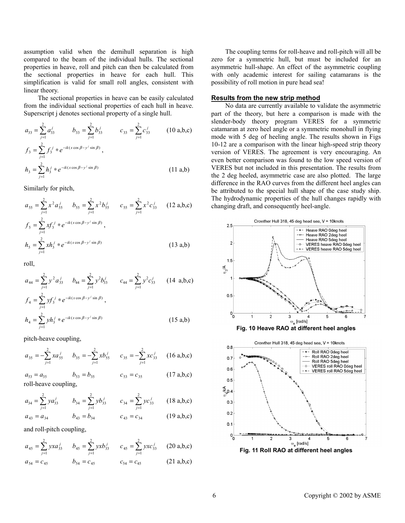assumption valid when the demihull separation is high compared to the beam of the individual hulls. The sectional properties in heave, roll and pitch can then be calculated from the sectional properties in heave for each hull. This simplification is valid for small roll angles, consistent with linear theory.

The sectional properties in heave can be easily calculated from the individual sectional properties of each hull in heave. Superscript j denotes sectional property of a single hull.

$$
a_{33} = \sum_{j=1}^{2} a_{33}^{j} \t b_{33} = \sum_{j=1}^{2} b_{33}^{j} \t c_{33} = \sum_{j=1}^{2} c_{33}^{j} \t (10 \text{ a}, \text{b}, \text{c})
$$
  

$$
f_{3} = \sum_{j=1}^{2} f_{3}^{j} * e^{-ik(x \cos \beta - y' \sin \beta)},
$$
  

$$
h_{3} = \sum_{j=1}^{2} h_{3}^{j} * e^{-ik(x \cos \beta - y' \sin \beta)}
$$
  
(11 a,b)

Similarly for pitch,

$$
a_{55} = \sum_{j=1}^{2} x^{2} a_{55}^{j} \t b_{55} = \sum_{j=1}^{2} x^{2} b_{55}^{j} \t c_{55} = \sum_{j=1}^{2} x^{2} c_{33}^{j} \t (12 \text{ a}, \text{b}, \text{c})
$$
  
\n
$$
f_{5} = \sum_{j=1}^{2} x f_{3}^{j} * e^{-ik(x \cos \beta - y^{j} \sin \beta)},
$$
  
\n
$$
h_{5} = \sum_{j=1}^{2} x h_{3}^{j} * e^{-ik(x \cos \beta - y^{j} \sin \beta)}
$$
  
\n(13 a,b)

roll,

$$
a_{44} = \sum_{j=1}^{2} y^{2} a_{33}^{j} \t b_{44} = \sum_{j=1}^{2} y^{2} b_{33}^{j} \t c_{44} = \sum_{j=1}^{2} y^{2} c_{33}^{j} \t (14 \text{ a}, \text{b}, \text{c})
$$
  

$$
f_{4} = \sum_{j=1}^{2} y f_{3}^{j} * e^{-ik(x \cos \beta - y^{j} \sin \beta)},
$$
  

$$
h_{4} = \sum_{j=1}^{2} y h_{3}^{j} * e^{-ik(x \cos \beta - y^{j} \sin \beta)}
$$
 (15 a,b)

pitch-heave coupling,

$$
a_{35} = -\sum_{j=1}^{2} x a_{55}^{j} \qquad b_{35} = -\sum_{j=1}^{2} x b_{55}^{j} \qquad c_{35} = -\sum_{j=1}^{2} x c_{33}^{j} \qquad (16 \text{ a}, \text{b}, \text{c})
$$

$$
a_{53} = a_{35}
$$
  $b_{53} = b_{35}$   $c_{53} = c_{35}$  (17 a,b,c)  
roll-heave coupling,

$$
a_{34} = \sum_{j=1}^{2} y a_{33}^{j} \qquad b_{34} = \sum_{j=1}^{2} y b_{33}^{j} \qquad c_{34} = \sum_{j=1}^{2} y c_{33}^{j} \qquad (18 \text{ a}, \text{b}, \text{c})
$$

$$
a_{43} = a_{34} \qquad b_{43} = b_{34} \qquad c_{43} = c_{34} \qquad (19 \text{ a}, \text{b}, \text{c})
$$

and roll-pitch coupling,

$$
a_{45} = \sum_{j=1}^{2} yxa_{33}^{j} \t b_{45} = \sum_{j=1}^{2} yxb_{33}^{j} \t c_{45} = \sum_{j=1}^{2} yxc_{33}^{j} \t (20 a,b,c)
$$
  

$$
a_{54} = c_{45} \t b_{54} = c_{45} \t c_{54} = c_{45} \t (21 a,b,c)
$$

The coupling terms for roll-heave and roll-pitch will all be zero for a symmetric hull, but must be included for an asymmetric hull-shape. An effect of the asymmetric coupling with only academic interest for sailing catamarans is the possibility of roll motion in pure head sea!

## **Results from the new strip method**

No data are currently available to validate the asymmetric part of the theory, but here a comparison is made with the slender-body theory program VERES for a symmetric catamaran at zero heel angle or a symmetric monohull in flying mode with 5 deg of heeling angle. The results shown in Figs 10-12 are a comparison with the linear high-speed strip theory version of VERES. The agreement is very encouraging. An even better comparison was found to the low speed version of VERES but not included in this presentation. The results from the 2 deg heeled, asymmetric case are also plotted. The large difference in the RAO curves from the different heel angles can be attributed to the special hull shape of the case study ship. The hydrodynamic properties of the hull changes rapidly with changing draft, and consequently heel-angle.



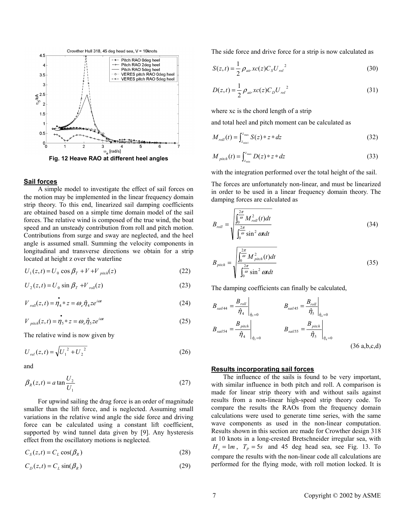

#### **Sail forces**

A simple model to investigate the effect of sail forces on the motion may be implemented in the linear frequency domain strip theory. To this end, linearized sail damping coefficients are obtained based on a simple time domain model of the sail forces. The relative wind is composed of the true wind, the boat speed and an unsteady contribution from roll and pitch motion. Contributions from surge and sway are neglected, and the heel angle is assumed small. Summing the velocity components in longitudinal and transverse directions we obtain for a strip located at height z over the waterline

$$
U_1(z,t) = U_0 \cos \beta_T + V + V_{pitch}(z)
$$
\n(22)

$$
U_2(z,t) = U_0 \sin \beta_T + V_{roll}(z)
$$
 (23)

$$
V_{roll}(z,t) = \mathbf{r}_4 * z = \omega_e \hat{\eta}_4 z e^{i\omega t}
$$
 (24)

$$
V_{pitch}(z,t) = \dot{\eta}_s * z = \omega_e \hat{\eta}_s z e^{i\omega t}
$$
 (25)

The relative wind is now given by

$$
U_{rel}(z,t) = \sqrt{U_1^2 + U_2^2}
$$
 (26)

and

$$
\beta_R(z,t) = a \tan \frac{U_2}{U_1} \tag{27}
$$

For upwind sailing the drag force is an order of magnitude smaller than the lift force, and is neglected. Assuming small variations in the relative wind angle the side force and driving force can be calculated using a constant lift coefficient, supported by wind tunnel data given by [9]. Any hysteresis effect from the oscillatory motions is neglected.

$$
C_S(z,t) = C_L \cos(\beta_R)
$$
 (28)

$$
C_D(z,t) = C_L \sin(\beta_R)
$$
 (29)

The side force and drive force for a strip is now calculated as

$$
S(z,t) = \frac{1}{2} \rho_{air} x c(z) C_S U_{rel}^2
$$
 (30)

$$
D(z,t) = \frac{1}{2} \rho_{air} x c(z) C_D U_{rel}^2
$$
 (31)

where xc is the chord length of a strip

and total heel and pitch moment can be calculated as

$$
M_{roll}(t) = \int_{z_{\text{min}}}^{z_{\text{max}}} S(z) * z * dz
$$
 (32)

$$
M_{pitch}(t) = \int_{z_{\min}}^{z_{\max}} D(z) * z * dz
$$
 (33)

with the integration performed over the total height of the sail.

The forces are unfortunately non-linear, and must be linearized in order to be used in a linear frequency domain theory. The damping forces are calculated as

$$
B_{roll} = \sqrt{\frac{\int_0^{2\pi} M_{roll}^2(t)dt}{\int_0^{2\pi} \sin^2 \omega t dt}}
$$
(34)  

$$
B_{pitch} = \sqrt{\frac{\int_0^{2\pi} M_{pitch}^2(t)dt}{\int_0^{2\pi} \sin^2 \omega t dt}}
$$
(35)

The damping coefficients can finally be calculated,

$$
B_{sail44} = \frac{B_{roll}}{\hat{\eta}_4} \Big|_{\hat{\eta}_5 = 0} \qquad B_{sail45} = \frac{B_{roll}}{\hat{\eta}_5} \Big|_{\hat{\eta}_4 = 0}
$$
  

$$
B_{sail54} = \frac{B_{pitch}}{\hat{\eta}_4} \Big|_{\hat{\eta}_5 = 0} \qquad B_{sail55} = \frac{B_{pitch}}{\hat{\eta}_5} \Big|_{\hat{\eta}_4 = 0}
$$
(36 a,b,c,d)

#### **Results incorporating sail forces**

The influence of the sails is found to be very important, with similar influence in both pitch and roll. A comparison is made for linear strip theory with and without sails against results from a non-linear high-speed strip theory code. To compare the results the RAOs from the frequency domain calculations were used to generate time series, with the same wave components as used in the non-linear computation. Results shown in this section are made for Crowther design 318 at 10 knots in a long-crested Bretschneider irregular sea, with  $H_s = 1m$ ,  $T_p = 5s$  and 45 deg head sea, see Fig. 13. To compare the results with the non-linear code all calculations are performed for the flying mode, with roll motion locked. It is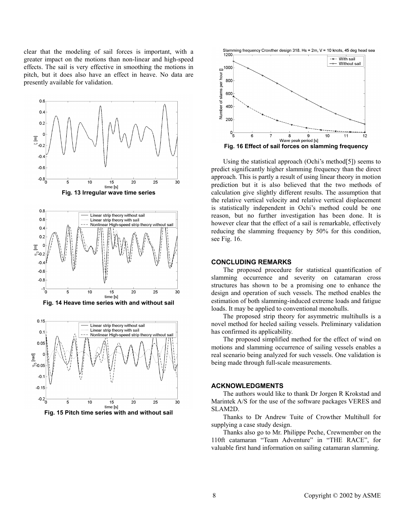clear that the modeling of sail forces is important, with a greater impact on the motions than non-linear and high-speed effects. The sail is very effective in smoothing the motions in pitch, but it does also have an effect in heave. No data are presently available for validation.



 $10$  $\overline{20}$ 5 15 25 time [s]



Slamming frequency Crowther design 318. Hs = 2m, V = 10 knots, 45 deg head sea



Using the statistical approach (Ochi's method[5]) seems to predict significantly higher slamming frequency than the direct approach. This is partly a result of using linear theory in motion prediction but it is also believed that the two methods of calculation give slightly different results. The assumption that the relative vertical velocity and relative vertical displacement is statistically independent in Ochi's method could be one reason, but no further investigation has been done. It is however clear that the effect of a sail is remarkable, effectively reducing the slamming frequency by 50% for this condition, see Fig. 16.

#### **CONCLUDING REMARKS**

The proposed procedure for statistical quantification of slamming occurrence and severity on catamaran cross structures has shown to be a promising one to enhance the design and operation of such vessels. The method enables the estimation of both slamming-induced extreme loads and fatigue loads. It may be applied to conventional monohulls.

The proposed strip theory for asymmetric multihulls is a novel method for heeled sailing vessels. Preliminary validation has confirmed its applicability.

The proposed simplified method for the effect of wind on motions and slamming occurrence of sailing vessels enables a real scenario being analyzed for such vessels. One validation is being made through full-scale measurements.

### **ACKNOWLEDGMENTS**

The authors would like to thank Dr Jorgen R Krokstad and Marintek A/S for the use of the software packages VERES and SLAM2D.

Thanks to Dr Andrew Tuite of Crowther Multihull for supplying a case study design.

Thanks also go to Mr. Philippe Peche, Crewmember on the 110ft catamaran "Team Adventure" in "THE RACE", for valuable first hand information on sailing catamaran slamming.

30